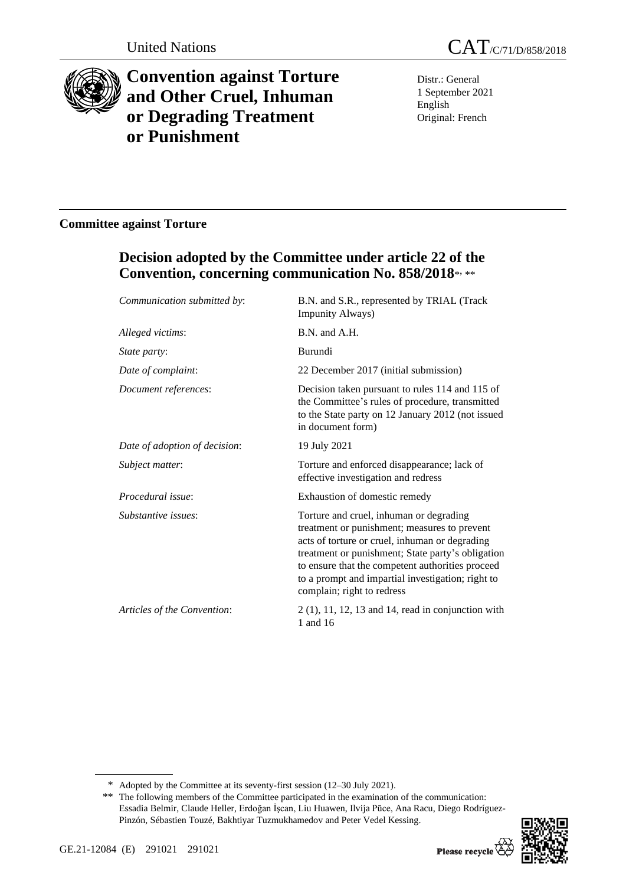

# **Convention against Torture and Other Cruel, Inhuman or Degrading Treatment or Punishment**

Distr.: General 1 September 2021 English Original: French

### **Committee against Torture**

## **Decision adopted by the Committee under article 22 of the Convention, concerning communication No. 858/2018**\* , \*\*

| Communication submitted by:   | B.N. and S.R., represented by TRIAL (Track<br><b>Impunity Always)</b>                                                                                                                                                                                                                                                                 |
|-------------------------------|---------------------------------------------------------------------------------------------------------------------------------------------------------------------------------------------------------------------------------------------------------------------------------------------------------------------------------------|
| Alleged victims:              | B.N. and A.H.                                                                                                                                                                                                                                                                                                                         |
| State party:                  | Burundi                                                                                                                                                                                                                                                                                                                               |
| Date of complaint:            | 22 December 2017 (initial submission)                                                                                                                                                                                                                                                                                                 |
| Document references:          | Decision taken pursuant to rules 114 and 115 of<br>the Committee's rules of procedure, transmitted<br>to the State party on 12 January 2012 (not issued<br>in document form)                                                                                                                                                          |
| Date of adoption of decision: | 19 July 2021                                                                                                                                                                                                                                                                                                                          |
| Subject matter:               | Torture and enforced disappearance; lack of<br>effective investigation and redress                                                                                                                                                                                                                                                    |
| Procedural issue:             | Exhaustion of domestic remedy                                                                                                                                                                                                                                                                                                         |
| Substantive issues:           | Torture and cruel, inhuman or degrading<br>treatment or punishment; measures to prevent<br>acts of torture or cruel, inhuman or degrading<br>treatment or punishment; State party's obligation<br>to ensure that the competent authorities proceed<br>to a prompt and impartial investigation; right to<br>complain; right to redress |
| Articles of the Convention:   | $2(1)$ , 11, 12, 13 and 14, read in conjunction with<br>1 and 16                                                                                                                                                                                                                                                                      |

<sup>\*\*</sup> The following members of the Committee participated in the examination of the communication: Essadia Belmir, Claude Heller, Erdoğan İşcan, Liu Huawen, Ilvija Pūce, Ana Racu, Diego Rodríguez-Pinzón, Sébastien Touzé, Bakhtiyar Tuzmukhamedov and Peter Vedel Kessing.



<sup>\*</sup> Adopted by the Committee at its seventy-first session (12–30 July 2021).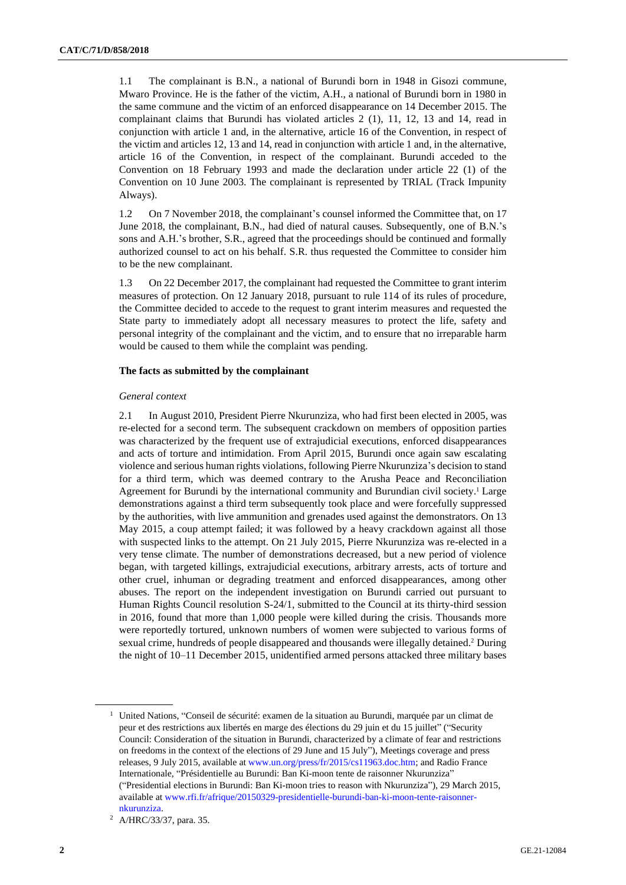1.1 The complainant is B.N., a national of Burundi born in 1948 in Gisozi commune, Mwaro Province. He is the father of the victim, A.H., a national of Burundi born in 1980 in the same commune and the victim of an enforced disappearance on 14 December 2015. The complainant claims that Burundi has violated articles 2 (1), 11, 12, 13 and 14, read in conjunction with article 1 and, in the alternative, article 16 of the Convention, in respect of the victim and articles 12, 13 and 14, read in conjunction with article 1 and, in the alternative, article 16 of the Convention, in respect of the complainant. Burundi acceded to the Convention on 18 February 1993 and made the declaration under article 22 (1) of the Convention on 10 June 2003. The complainant is represented by TRIAL (Track Impunity Always).

1.2 On 7 November 2018, the complainant's counsel informed the Committee that, on 17 June 2018, the complainant, B.N., had died of natural causes. Subsequently, one of B.N.'s sons and A.H.'s brother, S.R., agreed that the proceedings should be continued and formally authorized counsel to act on his behalf. S.R. thus requested the Committee to consider him to be the new complainant.

1.3 On 22 December 2017, the complainant had requested the Committee to grant interim measures of protection. On 12 January 2018, pursuant to rule 114 of its rules of procedure, the Committee decided to accede to the request to grant interim measures and requested the State party to immediately adopt all necessary measures to protect the life, safety and personal integrity of the complainant and the victim, and to ensure that no irreparable harm would be caused to them while the complaint was pending.

#### **The facts as submitted by the complainant**

#### *General context*

2.1 In August 2010, President Pierre Nkurunziza, who had first been elected in 2005, was re-elected for a second term. The subsequent crackdown on members of opposition parties was characterized by the frequent use of extrajudicial executions, enforced disappearances and acts of torture and intimidation. From April 2015, Burundi once again saw escalating violence and serious human rights violations, following Pierre Nkurunziza's decision to stand for a third term, which was deemed contrary to the Arusha Peace and Reconciliation Agreement for Burundi by the international community and Burundian civil society.<sup>1</sup> Large demonstrations against a third term subsequently took place and were forcefully suppressed by the authorities, with live ammunition and grenades used against the demonstrators. On 13 May 2015, a coup attempt failed; it was followed by a heavy crackdown against all those with suspected links to the attempt. On 21 July 2015, Pierre Nkurunziza was re-elected in a very tense climate. The number of demonstrations decreased, but a new period of violence began, with targeted killings, extrajudicial executions, arbitrary arrests, acts of torture and other cruel, inhuman or degrading treatment and enforced disappearances, among other abuses. The report on the independent investigation on Burundi carried out pursuant to Human Rights Council resolution S-24/1, submitted to the Council at its thirty-third session in 2016, found that more than 1,000 people were killed during the crisis. Thousands more were reportedly tortured, unknown numbers of women were subjected to various forms of sexual crime, hundreds of people disappeared and thousands were illegally detained.<sup>2</sup> During the night of 10–11 December 2015, unidentified armed persons attacked three military bases

<sup>1</sup> United Nations, "Conseil de sécurité: examen de la situation au Burundi, marquée par un climat de peur et des restrictions aux libertés en marge des élections du 29 juin et du 15 juillet" ("Security Council: Consideration of the situation in Burundi, characterized by a climate of fear and restrictions on freedoms in the context of the elections of 29 June and 15 July"), Meetings coverage and press releases, 9 July 2015, available at [www.un.org/press/fr/2015/cs11963.doc.htm;](file:///C:/Users/williams/Documents/Translations/CAT/Burundi/www.un.org/press/fr/2015/cs11963.doc.htm) and Radio France Internationale, "Présidentielle au Burundi: Ban Ki-moon tente de raisonner Nkurunziza" ("Presidential elections in Burundi: Ban Ki-moon tries to reason with Nkurunziza"), 29 March 2015, available at [www.rfi.fr/afrique/20150329-presidentielle-burundi-ban-ki-moon-tente-raisonner](file:///C:/Users/williams/Documents/Translations/CAT/Burundi/www.rfi.fr/afrique/20150329-presidentielle-burundi-ban-ki-moon-tente-raisonner-nkurunziza)[nkurunziza.](file:///C:/Users/williams/Documents/Translations/CAT/Burundi/www.rfi.fr/afrique/20150329-presidentielle-burundi-ban-ki-moon-tente-raisonner-nkurunziza)

<sup>2</sup> A/HRC/33/37, para. 35.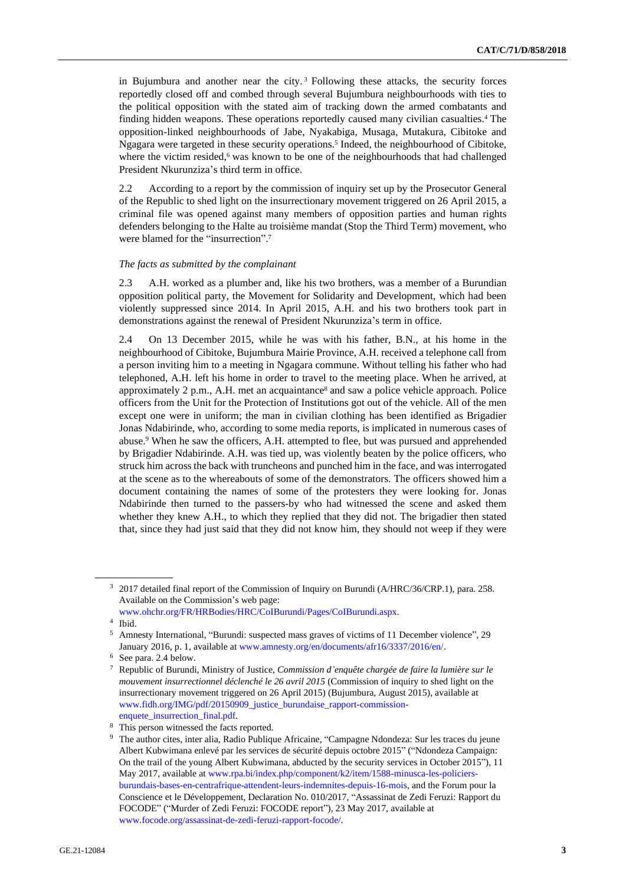in Bujumbura and another near the city. <sup>3</sup> Following these attacks, the security forces reportedly closed off and combed through several Bujumbura neighbourhoods with ties to the political opposition with the stated aim of tracking down the armed combatants and finding hidden weapons. These operations reportedly caused many civilian casualties.<sup>4</sup> The opposition-linked neighbourhoods of Jabe, Nyakabiga, Musaga, Mutakura, Cibitoke and Ngagara were targeted in these security operations.<sup>5</sup> Indeed, the neighbourhood of Cibitoke, where the victim resided,<sup>6</sup> was known to be one of the neighbourhoods that had challenged President Nkurunziza's third term in office.

2.2 According to a report by the commission of inquiry set up by the Prosecutor General of the Republic to shed light on the insurrectionary movement triggered on 26 April 2015, a criminal file was opened against many members of opposition parties and human rights defenders belonging to the Halte au troisième mandat (Stop the Third Term) movement, who were blamed for the "insurrection".<sup>7</sup>

#### *The facts as submitted by the complainant*

2.3 A.H. worked as a plumber and, like his two brothers, was a member of a Burundian opposition political party, the Movement for Solidarity and Development, which had been violently suppressed since 2014. In April 2015, A.H. and his two brothers took part in demonstrations against the renewal of President Nkurunziza's term in office.

2.4 On 13 December 2015, while he was with his father, B.N., at his home in the neighbourhood of Cibitoke, Bujumbura Mairie Province, A.H. received a telephone call from a person inviting him to a meeting in Ngagara commune. Without telling his father who had telephoned, A.H. left his home in order to travel to the meeting place. When he arrived, at approximately 2 p.m., A.H. met an acquaintance<sup>8</sup> and saw a police vehicle approach. Police officers from the Unit for the Protection of Institutions got out of the vehicle. All of the men except one were in uniform; the man in civilian clothing has been identified as Brigadier Jonas Ndabirinde, who, according to some media reports, is implicated in numerous cases of abuse.<sup>9</sup> When he saw the officers, A.H. attempted to flee, but was pursued and apprehended by Brigadier Ndabirinde. A.H. was tied up, was violently beaten by the police officers, who struck him across the back with truncheons and punched him in the face, and was interrogated at the scene as to the whereabouts of some of the demonstrators. The officers showed him a document containing the names of some of the protesters they were looking for. Jonas Ndabirinde then turned to the passers-by who had witnessed the scene and asked them whether they knew A.H., to which they replied that they did not. The brigadier then stated that, since they had just said that they did not know him, they should not weep if they were

<sup>&</sup>lt;sup>3</sup> 2017 detailed final report of the Commission of Inquiry on Burundi (A/HRC/36/CRP.1), para. 258. Available on the Commission's web page:

[www.ohchr.org/FR/HRBodies/HRC/CoIBurundi/Pages/CoIBurundi.aspx.](http://www.ohchr.org/FR/HRBodies/HRC/CoIBurundi/Pages/CoIBurundi.aspx)

<sup>4</sup> Ibid.

<sup>5</sup> Amnesty International, "Burundi: suspected mass graves of victims of 11 December violence", 29 January 2016, p. 1, available at [www.amnesty.org/en/documents/afr16/3337/2016/en/.](http://www.amnesty.org/en/documents/afr16/3337/2016/en/)

<sup>6</sup> See para. 2.4 below.

<sup>7</sup> Republic of Burundi, Ministry of Justice, *Commission d'enquête chargée de faire la lumière sur le mouvement insurrectionnel déclenché le 26 avril 2015* (Commission of inquiry to shed light on the insurrectionary movement triggered on 26 April 2015) (Bujumbura, August 2015), available at [www.fidh.org/IMG/pdf/20150909\\_justice\\_burundaise\\_rapport-commission-](http://www.fidh.org/IMG/pdf/20150909_justice_burundaise_rapport-commission-enquete_insurrection_final.pdf)

[enquete\\_insurrection\\_final.pdf.](http://www.fidh.org/IMG/pdf/20150909_justice_burundaise_rapport-commission-enquete_insurrection_final.pdf) <sup>8</sup> This person witnessed the facts reported.

<sup>9</sup> The author cites, inter alia, Radio Publique Africaine, "Campagne Ndondeza: Sur les traces du jeune Albert Kubwimana enlevé par les services de sécurité depuis octobre 2015" ("Ndondeza Campaign: On the trail of the young Albert Kubwimana, abducted by the security services in October 2015"), 11 May 2017, available at [www.rpa.bi/index.php/component/k2/item/1588-minusca-les-policiers](http://www.rpa.bi/index.php/component/k2/item/1588-minusca-les-policiers-burundais-bases-en-centrafrique-attendent-leurs-indemnites-depuis-16-mois)[burundais-bases-en-centrafrique-attendent-leurs-indemnites-depuis-16-mois,](http://www.rpa.bi/index.php/component/k2/item/1588-minusca-les-policiers-burundais-bases-en-centrafrique-attendent-leurs-indemnites-depuis-16-mois) and the Forum pour la Conscience et le Développement, Declaration No. 010/2017, "Assassinat de Zedi Feruzi: Rapport du FOCODE" ("Murder of Zedi Feruzi: FOCODE report"), 23 May 2017, available at [www.focode.org/assassinat-de-zedi-feruzi-rapport-focode/.](http://www.focode.org/assassinat-de-zedi-feruzi-rapport-focode/)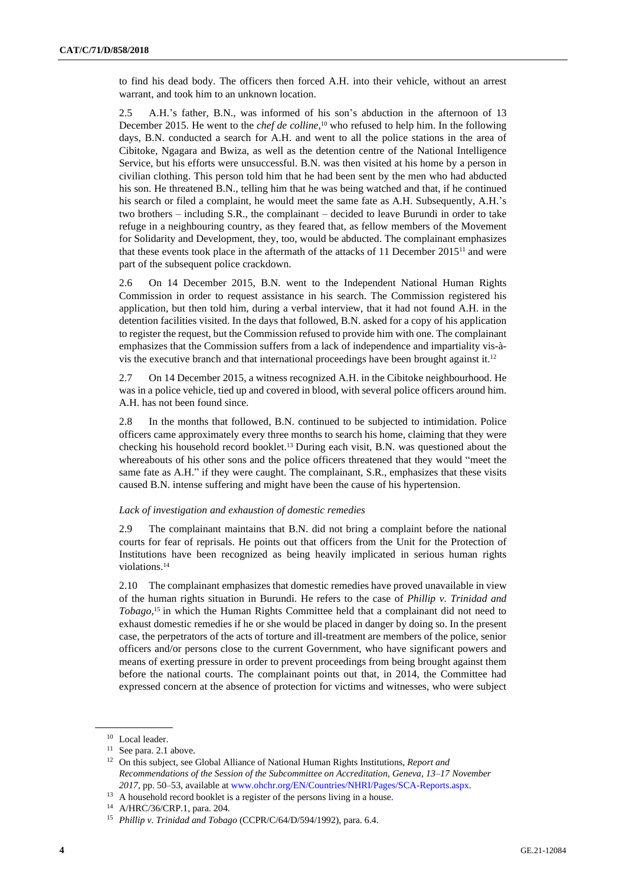to find his dead body. The officers then forced A.H. into their vehicle, without an arrest warrant, and took him to an unknown location.

2.5 A.H.'s father, B.N., was informed of his son's abduction in the afternoon of 13 December 2015. He went to the *chef de colline*, <sup>10</sup> who refused to help him. In the following days, B.N. conducted a search for A.H. and went to all the police stations in the area of Cibitoke, Ngagara and Bwiza, as well as the detention centre of the National Intelligence Service, but his efforts were unsuccessful. B.N. was then visited at his home by a person in civilian clothing. This person told him that he had been sent by the men who had abducted his son. He threatened B.N., telling him that he was being watched and that, if he continued his search or filed a complaint, he would meet the same fate as A.H. Subsequently, A.H.'s two brothers – including S.R., the complainant – decided to leave Burundi in order to take refuge in a neighbouring country, as they feared that, as fellow members of the Movement for Solidarity and Development, they, too, would be abducted. The complainant emphasizes that these events took place in the aftermath of the attacks of 11 December 2015<sup>11</sup> and were part of the subsequent police crackdown.

2.6 On 14 December 2015, B.N. went to the Independent National Human Rights Commission in order to request assistance in his search. The Commission registered his application, but then told him, during a verbal interview, that it had not found A.H. in the detention facilities visited. In the days that followed, B.N. asked for a copy of his application to register the request, but the Commission refused to provide him with one. The complainant emphasizes that the Commission suffers from a lack of independence and impartiality vis-àvis the executive branch and that international proceedings have been brought against it.<sup>12</sup>

2.7 On 14 December 2015, a witness recognized A.H. in the Cibitoke neighbourhood. He was in a police vehicle, tied up and covered in blood, with several police officers around him. A.H. has not been found since.

2.8 In the months that followed, B.N. continued to be subjected to intimidation. Police officers came approximately every three months to search his home, claiming that they were checking his household record booklet.<sup>13</sup> During each visit, B.N. was questioned about the whereabouts of his other sons and the police officers threatened that they would "meet the same fate as A.H." if they were caught. The complainant, S.R., emphasizes that these visits caused B.N. intense suffering and might have been the cause of his hypertension.

#### *Lack of investigation and exhaustion of domestic remedies*

2.9 The complainant maintains that B.N. did not bring a complaint before the national courts for fear of reprisals. He points out that officers from the Unit for the Protection of Institutions have been recognized as being heavily implicated in serious human rights violations.<sup>14</sup>

2.10 The complainant emphasizes that domestic remedies have proved unavailable in view of the human rights situation in Burundi. He refers to the case of *Phillip v. Trinidad and Tobago*,<sup>15</sup> in which the Human Rights Committee held that a complainant did not need to exhaust domestic remedies if he or she would be placed in danger by doing so. In the present case, the perpetrators of the acts of torture and ill-treatment are members of the police, senior officers and/or persons close to the current Government, who have significant powers and means of exerting pressure in order to prevent proceedings from being brought against them before the national courts. The complainant points out that, in 2014, the Committee had expressed concern at the absence of protection for victims and witnesses, who were subject

<sup>10</sup> Local leader.

<sup>&</sup>lt;sup>11</sup> See para. 2.1 above.

<sup>12</sup> On this subject, see Global Alliance of National Human Rights Institutions, *Report and Recommendations of the Session of the Subcommittee on Accreditation, Geneva, 13–17 November 2017*, pp. 50–53, available at [www.ohchr.org/EN/Countries/NHRI/Pages/SCA-Reports.aspx.](http://www.ohchr.org/EN/Countries/NHRI/Pages/SCA-Reports.aspx)

<sup>&</sup>lt;sup>13</sup> A household record booklet is a register of the persons living in a house.

<sup>14</sup> A/HRC/36/CRP.1, para. 204.

<sup>15</sup> *Phillip v. Trinidad and Tobago* (CCPR/C/64/D/594/1992), para. 6.4.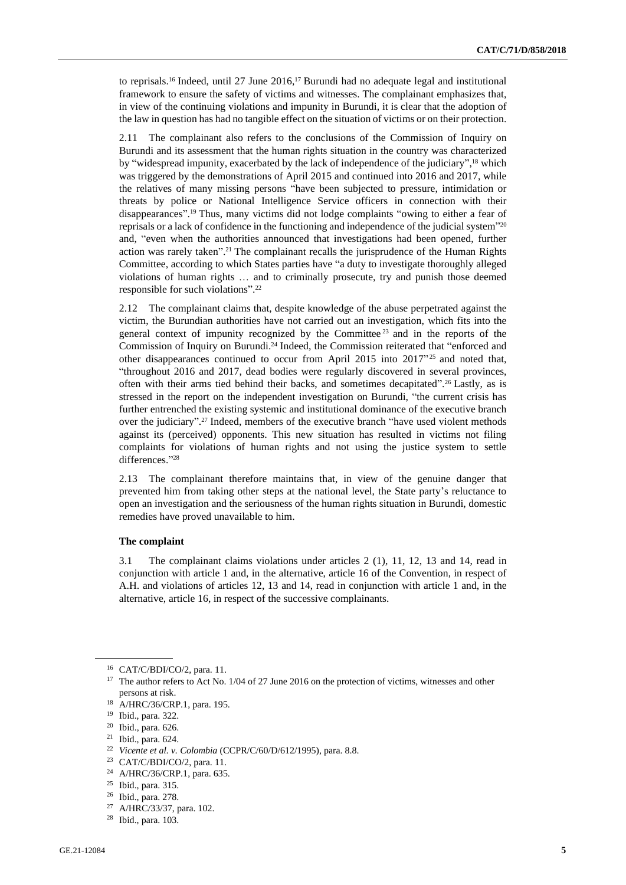to reprisals.<sup>16</sup> Indeed, until 27 June 2016,<sup>17</sup> Burundi had no adequate legal and institutional framework to ensure the safety of victims and witnesses. The complainant emphasizes that, in view of the continuing violations and impunity in Burundi, it is clear that the adoption of the law in question has had no tangible effect on the situation of victims or on their protection.

2.11 The complainant also refers to the conclusions of the Commission of Inquiry on Burundi and its assessment that the human rights situation in the country was characterized by "widespread impunity, exacerbated by the lack of independence of the judiciary",<sup>18</sup> which was triggered by the demonstrations of April 2015 and continued into 2016 and 2017, while the relatives of many missing persons "have been subjected to pressure, intimidation or threats by police or National Intelligence Service officers in connection with their disappearances". <sup>19</sup> Thus, many victims did not lodge complaints "owing to either a fear of reprisals or a lack of confidence in the functioning and independence of the judicial system" 20 and, "even when the authorities announced that investigations had been opened, further action was rarely taken". <sup>21</sup> The complainant recalls the jurisprudence of the Human Rights Committee, according to which States parties have "a duty to investigate thoroughly alleged violations of human rights … and to criminally prosecute, try and punish those deemed responsible for such violations". 22

2.12 The complainant claims that, despite knowledge of the abuse perpetrated against the victim, the Burundian authorities have not carried out an investigation, which fits into the general context of impunity recognized by the Committee <sup>23</sup> and in the reports of the Commission of Inquiry on Burundi.<sup>24</sup> Indeed, the Commission reiterated that "enforced and other disappearances continued to occur from April 2015 into  $2017^{\prime\prime}$  and noted that, "throughout 2016 and 2017, dead bodies were regularly discovered in several provinces, often with their arms tied behind their backs, and sometimes decapitated". <sup>26</sup> Lastly, as is stressed in the report on the independent investigation on Burundi, "the current crisis has further entrenched the existing systemic and institutional dominance of the executive branch over the judiciary". <sup>27</sup> Indeed, members of the executive branch "have used violent methods against its (perceived) opponents. This new situation has resulted in victims not filing complaints for violations of human rights and not using the justice system to settle differences." 28

2.13 The complainant therefore maintains that, in view of the genuine danger that prevented him from taking other steps at the national level, the State party's reluctance to open an investigation and the seriousness of the human rights situation in Burundi, domestic remedies have proved unavailable to him.

#### **The complaint**

3.1 The complainant claims violations under articles 2 (1), 11, 12, 13 and 14, read in conjunction with article 1 and, in the alternative, article 16 of the Convention, in respect of A.H. and violations of articles 12, 13 and 14, read in conjunction with article 1 and, in the alternative, article 16, in respect of the successive complainants.

<sup>16</sup> CAT/C/BDI/CO/2, para. 11.

<sup>&</sup>lt;sup>17</sup> The author refers to Act No. 1/04 of 27 June 2016 on the protection of victims, witnesses and other persons at risk.

<sup>18</sup> A/HRC/36/CRP.1, para. 195.

<sup>19</sup> Ibid., para. 322.

<sup>20</sup> Ibid., para. 626.

<sup>21</sup> Ibid., para. 624.

<sup>22</sup> *Vicente et al. v. Colombia* (CCPR/C/60/D/612/1995), para. 8.8.

<sup>23</sup> CAT/C/BDI/CO/2, para. 11.

<sup>24</sup> A/HRC/36/CRP.1, para. 635.

<sup>25</sup> Ibid., para. 315.

<sup>26</sup> Ibid., para. 278.

<sup>27</sup> A/HRC/33/37, para. 102.

<sup>28</sup> Ibid., para. 103.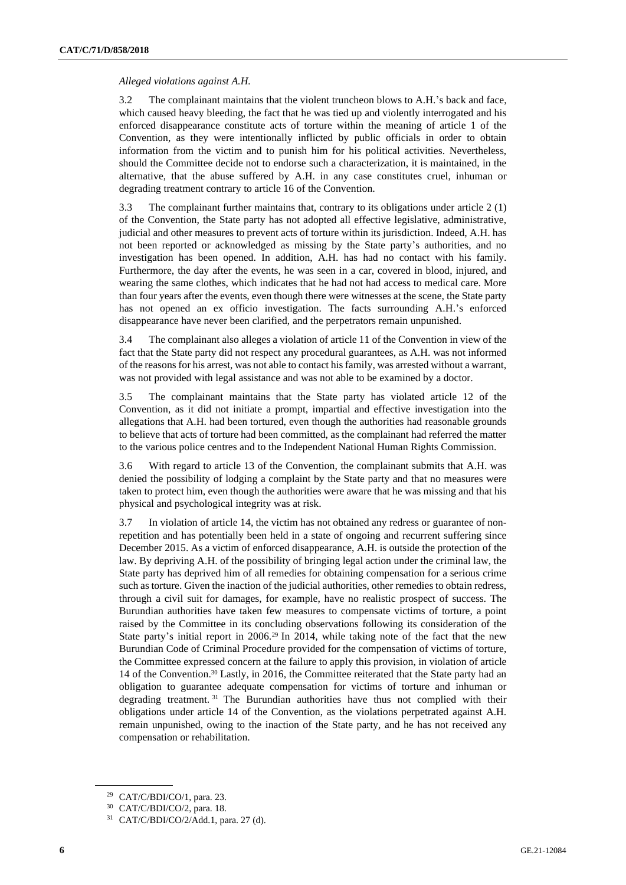#### *Alleged violations against A.H.*

3.2 The complainant maintains that the violent truncheon blows to A.H.'s back and face, which caused heavy bleeding, the fact that he was tied up and violently interrogated and his enforced disappearance constitute acts of torture within the meaning of article 1 of the Convention, as they were intentionally inflicted by public officials in order to obtain information from the victim and to punish him for his political activities. Nevertheless, should the Committee decide not to endorse such a characterization, it is maintained, in the alternative, that the abuse suffered by A.H. in any case constitutes cruel, inhuman or degrading treatment contrary to article 16 of the Convention.

3.3 The complainant further maintains that, contrary to its obligations under article 2 (1) of the Convention, the State party has not adopted all effective legislative, administrative, judicial and other measures to prevent acts of torture within its jurisdiction. Indeed, A.H. has not been reported or acknowledged as missing by the State party's authorities, and no investigation has been opened. In addition, A.H. has had no contact with his family. Furthermore, the day after the events, he was seen in a car, covered in blood, injured, and wearing the same clothes, which indicates that he had not had access to medical care. More than four years after the events, even though there were witnesses at the scene, the State party has not opened an ex officio investigation. The facts surrounding A.H.'s enforced disappearance have never been clarified, and the perpetrators remain unpunished.

3.4 The complainant also alleges a violation of article 11 of the Convention in view of the fact that the State party did not respect any procedural guarantees, as A.H. was not informed of the reasons for his arrest, was not able to contact hisfamily, was arrested without a warrant, was not provided with legal assistance and was not able to be examined by a doctor.

3.5 The complainant maintains that the State party has violated article 12 of the Convention, as it did not initiate a prompt, impartial and effective investigation into the allegations that A.H. had been tortured, even though the authorities had reasonable grounds to believe that acts of torture had been committed, as the complainant had referred the matter to the various police centres and to the Independent National Human Rights Commission.

3.6 With regard to article 13 of the Convention, the complainant submits that A.H. was denied the possibility of lodging a complaint by the State party and that no measures were taken to protect him, even though the authorities were aware that he was missing and that his physical and psychological integrity was at risk.

3.7 In violation of article 14, the victim has not obtained any redress or guarantee of nonrepetition and has potentially been held in a state of ongoing and recurrent suffering since December 2015. As a victim of enforced disappearance, A.H. is outside the protection of the law. By depriving A.H. of the possibility of bringing legal action under the criminal law, the State party has deprived him of all remedies for obtaining compensation for a serious crime such as torture. Given the inaction of the judicial authorities, other remedies to obtain redress, through a civil suit for damages, for example, have no realistic prospect of success. The Burundian authorities have taken few measures to compensate victims of torture, a point raised by the Committee in its concluding observations following its consideration of the State party's initial report in  $2006<sup>29</sup>$  In 2014, while taking note of the fact that the new Burundian Code of Criminal Procedure provided for the compensation of victims of torture, the Committee expressed concern at the failure to apply this provision, in violation of article 14 of the Convention.<sup>30</sup> Lastly, in 2016, the Committee reiterated that the State party had an obligation to guarantee adequate compensation for victims of torture and inhuman or degrading treatment. <sup>31</sup> The Burundian authorities have thus not complied with their obligations under article 14 of the Convention, as the violations perpetrated against A.H. remain unpunished, owing to the inaction of the State party, and he has not received any compensation or rehabilitation.

<sup>29</sup> CAT/C/BDI/CO/1, para. 23.

<sup>30</sup> CAT/C/BDI/CO/2, para. 18.

<sup>31</sup> CAT/C/BDI/CO/2/Add.1, para. 27 (d).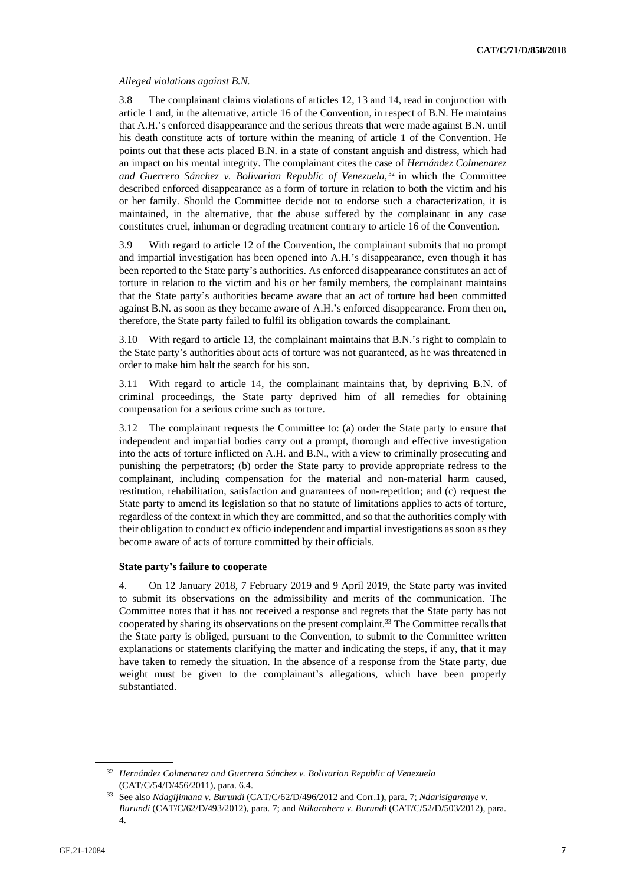*Alleged violations against B.N.*

3.8 The complainant claims violations of articles 12, 13 and 14, read in conjunction with article 1 and, in the alternative, article 16 of the Convention, in respect of B.N. He maintains that A.H.'s enforced disappearance and the serious threats that were made against B.N. until his death constitute acts of torture within the meaning of article 1 of the Convention. He points out that these acts placed B.N. in a state of constant anguish and distress, which had an impact on his mental integrity. The complainant cites the case of *Hernández Colmenarez and Guerrero Sánchez v. Bolivarian Republic of Venezuela*, <sup>32</sup> in which the Committee described enforced disappearance as a form of torture in relation to both the victim and his or her family. Should the Committee decide not to endorse such a characterization, it is maintained, in the alternative, that the abuse suffered by the complainant in any case constitutes cruel, inhuman or degrading treatment contrary to article 16 of the Convention.

3.9 With regard to article 12 of the Convention, the complainant submits that no prompt and impartial investigation has been opened into A.H.'s disappearance, even though it has been reported to the State party's authorities. As enforced disappearance constitutes an act of torture in relation to the victim and his or her family members, the complainant maintains that the State party's authorities became aware that an act of torture had been committed against B.N. as soon as they became aware of A.H.'s enforced disappearance. From then on, therefore, the State party failed to fulfil its obligation towards the complainant.

3.10 With regard to article 13, the complainant maintains that B.N.'s right to complain to the State party's authorities about acts of torture was not guaranteed, as he was threatened in order to make him halt the search for his son.

3.11 With regard to article 14, the complainant maintains that, by depriving B.N. of criminal proceedings, the State party deprived him of all remedies for obtaining compensation for a serious crime such as torture.

3.12 The complainant requests the Committee to: (a) order the State party to ensure that independent and impartial bodies carry out a prompt, thorough and effective investigation into the acts of torture inflicted on A.H. and B.N., with a view to criminally prosecuting and punishing the perpetrators; (b) order the State party to provide appropriate redress to the complainant, including compensation for the material and non-material harm caused, restitution, rehabilitation, satisfaction and guarantees of non-repetition; and (c) request the State party to amend its legislation so that no statute of limitations applies to acts of torture, regardless of the context in which they are committed, and so that the authorities comply with their obligation to conduct ex officio independent and impartial investigations as soon as they become aware of acts of torture committed by their officials.

#### **State party's failure to cooperate**

4. On 12 January 2018, 7 February 2019 and 9 April 2019, the State party was invited to submit its observations on the admissibility and merits of the communication. The Committee notes that it has not received a response and regrets that the State party has not cooperated by sharing its observations on the present complaint.<sup>33</sup> The Committee recalls that the State party is obliged, pursuant to the Convention, to submit to the Committee written explanations or statements clarifying the matter and indicating the steps, if any, that it may have taken to remedy the situation. In the absence of a response from the State party, due weight must be given to the complainant's allegations, which have been properly substantiated.

<sup>32</sup> *Hernández Colmenarez and Guerrero Sánchez v. Bolivarian Republic of Venezuela* (CAT/C/54/D/456/2011), para. 6.4.

<sup>33</sup> See also *Ndagijimana v. Burundi* (CAT/C/62/D/496/2012 and Corr.1), para. 7; *Ndarisigaranye v. Burundi* (CAT/C/62/D/493/2012), para. 7; and *Ntikarahera v. Burundi* (CAT/C/52/D/503/2012), para. 4.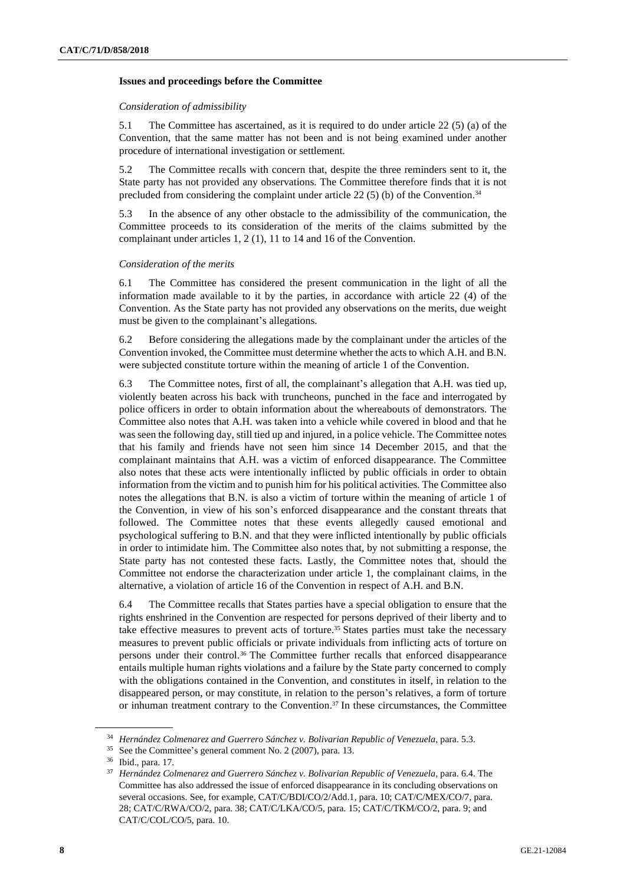#### **Issues and proceedings before the Committee**

#### *Consideration of admissibility*

5.1 The Committee has ascertained, as it is required to do under article 22 (5) (a) of the Convention, that the same matter has not been and is not being examined under another procedure of international investigation or settlement.

5.2 The Committee recalls with concern that, despite the three reminders sent to it, the State party has not provided any observations. The Committee therefore finds that it is not precluded from considering the complaint under article 22 (5) (b) of the Convention.<sup>34</sup>

5.3 In the absence of any other obstacle to the admissibility of the communication, the Committee proceeds to its consideration of the merits of the claims submitted by the complainant under articles 1, 2 (1), 11 to 14 and 16 of the Convention.

#### *Consideration of the merits*

6.1 The Committee has considered the present communication in the light of all the information made available to it by the parties, in accordance with article 22 (4) of the Convention. As the State party has not provided any observations on the merits, due weight must be given to the complainant's allegations.

6.2 Before considering the allegations made by the complainant under the articles of the Convention invoked, the Committee must determine whether the acts to which A.H. and B.N. were subjected constitute torture within the meaning of article 1 of the Convention.

6.3 The Committee notes, first of all, the complainant's allegation that A.H. was tied up, violently beaten across his back with truncheons, punched in the face and interrogated by police officers in order to obtain information about the whereabouts of demonstrators. The Committee also notes that A.H. was taken into a vehicle while covered in blood and that he was seen the following day, still tied up and injured, in a police vehicle. The Committee notes that his family and friends have not seen him since 14 December 2015, and that the complainant maintains that A.H. was a victim of enforced disappearance. The Committee also notes that these acts were intentionally inflicted by public officials in order to obtain information from the victim and to punish him for his political activities. The Committee also notes the allegations that B.N. is also a victim of torture within the meaning of article 1 of the Convention, in view of his son's enforced disappearance and the constant threats that followed. The Committee notes that these events allegedly caused emotional and psychological suffering to B.N. and that they were inflicted intentionally by public officials in order to intimidate him. The Committee also notes that, by not submitting a response, the State party has not contested these facts. Lastly, the Committee notes that, should the Committee not endorse the characterization under article 1, the complainant claims, in the alternative, a violation of article 16 of the Convention in respect of A.H. and B.N.

6.4 The Committee recalls that States parties have a special obligation to ensure that the rights enshrined in the Convention are respected for persons deprived of their liberty and to take effective measures to prevent acts of torture.<sup>35</sup> States parties must take the necessary measures to prevent public officials or private individuals from inflicting acts of torture on persons under their control.<sup>36</sup> The Committee further recalls that enforced disappearance entails multiple human rights violations and a failure by the State party concerned to comply with the obligations contained in the Convention, and constitutes in itself, in relation to the disappeared person, or may constitute, in relation to the person's relatives, a form of torture or inhuman treatment contrary to the Convention.<sup>37</sup> In these circumstances, the Committee

<sup>34</sup> *Hernández Colmenarez and Guerrero Sánchez v. Bolivarian Republic of Venezuela*, para. 5.3.

<sup>35</sup> See the Committee's general comment No. 2 (2007), para. 13.

<sup>36</sup> Ibid., para. 17.

<sup>37</sup> *Hernández Colmenarez and Guerrero Sánchez v. Bolivarian Republic of Venezuela*, para. 6.4. The Committee has also addressed the issue of enforced disappearance in its concluding observations on several occasions. See, for example, CAT/C/BDI/CO/2/Add.1, para. 10; CAT/C/MEX/CO/7, para. 28; CAT/C/RWA/CO/2, para. 38; CAT/C/LKA/CO/5, para. 15; CAT/C/TKM/CO/2, para. 9; and CAT/C/COL/CO/5, para. 10.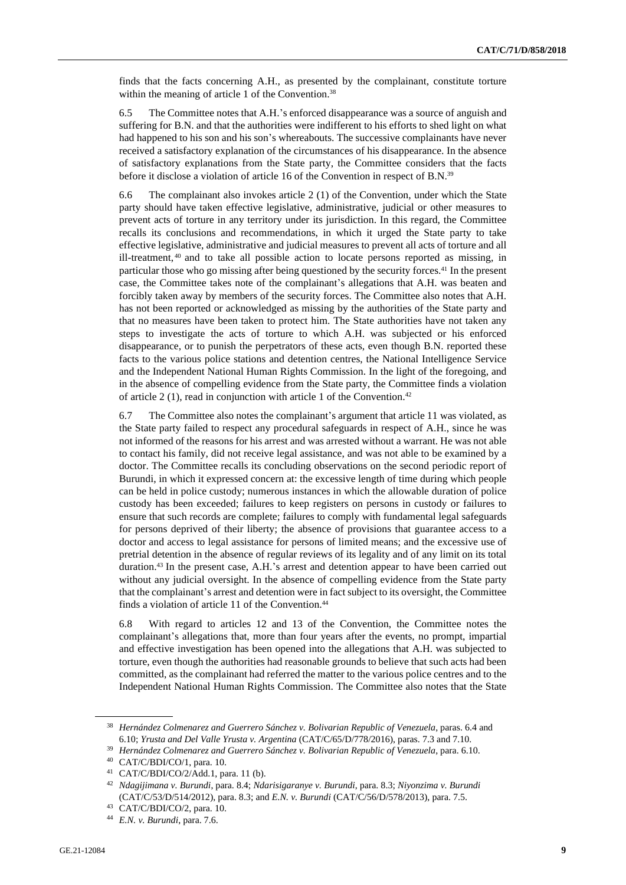finds that the facts concerning A.H., as presented by the complainant, constitute torture within the meaning of article 1 of the Convention.<sup>38</sup>

6.5 The Committee notes that A.H.'s enforced disappearance was a source of anguish and suffering for B.N. and that the authorities were indifferent to his efforts to shed light on what had happened to his son and his son's whereabouts. The successive complainants have never received a satisfactory explanation of the circumstances of his disappearance. In the absence of satisfactory explanations from the State party, the Committee considers that the facts before it disclose a violation of article 16 of the Convention in respect of B.N.<sup>39</sup>

6.6 The complainant also invokes article 2 (1) of the Convention, under which the State party should have taken effective legislative, administrative, judicial or other measures to prevent acts of torture in any territory under its jurisdiction. In this regard, the Committee recalls its conclusions and recommendations, in which it urged the State party to take effective legislative, administrative and judicial measures to prevent all acts of torture and all ill-treatment, <sup>40</sup> and to take all possible action to locate persons reported as missing, in particular those who go missing after being questioned by the security forces.<sup>41</sup> In the present case, the Committee takes note of the complainant's allegations that A.H. was beaten and forcibly taken away by members of the security forces. The Committee also notes that A.H. has not been reported or acknowledged as missing by the authorities of the State party and that no measures have been taken to protect him. The State authorities have not taken any steps to investigate the acts of torture to which A.H. was subjected or his enforced disappearance, or to punish the perpetrators of these acts, even though B.N. reported these facts to the various police stations and detention centres, the National Intelligence Service and the Independent National Human Rights Commission. In the light of the foregoing, and in the absence of compelling evidence from the State party, the Committee finds a violation of article 2 (1), read in conjunction with article 1 of the Convention.<sup>42</sup>

6.7 The Committee also notes the complainant's argument that article 11 was violated, as the State party failed to respect any procedural safeguards in respect of A.H., since he was not informed of the reasons for his arrest and was arrested without a warrant. He was not able to contact his family, did not receive legal assistance, and was not able to be examined by a doctor. The Committee recalls its concluding observations on the second periodic report of Burundi, in which it expressed concern at: the excessive length of time during which people can be held in police custody; numerous instances in which the allowable duration of police custody has been exceeded; failures to keep registers on persons in custody or failures to ensure that such records are complete; failures to comply with fundamental legal safeguards for persons deprived of their liberty; the absence of provisions that guarantee access to a doctor and access to legal assistance for persons of limited means; and the excessive use of pretrial detention in the absence of regular reviews of its legality and of any limit on its total duration.<sup>43</sup> In the present case, A.H.'s arrest and detention appear to have been carried out without any judicial oversight. In the absence of compelling evidence from the State party that the complainant's arrest and detention were in factsubject to its oversight, the Committee finds a violation of article 11 of the Convention.<sup>44</sup>

6.8 With regard to articles 12 and 13 of the Convention, the Committee notes the complainant's allegations that, more than four years after the events, no prompt, impartial and effective investigation has been opened into the allegations that A.H. was subjected to torture, even though the authorities had reasonable grounds to believe that such acts had been committed, as the complainant had referred the matter to the various police centres and to the Independent National Human Rights Commission. The Committee also notes that the State

<sup>38</sup> *Hernández Colmenarez and Guerrero Sánchez v. Bolivarian Republic of Venezuela*, paras. 6.4 and 6.10; *Yrusta and Del Valle Yrusta v. Argentina* (CAT/C/65/D/778/2016), paras. 7.3 and 7.10.

<sup>39</sup> *Hernández Colmenarez and Guerrero Sánchez v. Bolivarian Republic of Venezuela*, para. 6.10.

<sup>40</sup> CAT/C/BDI/CO/1, para. 10.

<sup>41</sup> CAT/C/BDI/CO/2/Add.1, para. 11 (b).

<sup>42</sup> *Ndagijimana v. Burundi*, para. 8.4; *Ndarisigaranye v. Burundi*, para. 8.3; *Niyonzima v. Burundi* (CAT/C/53/D/514/2012), para. 8.3; and *E.N. v. Burundi* (CAT/C/56/D/578/2013), para. 7.5.

<sup>43</sup> CAT/C/BDI/CO/2, para. 10.

<sup>44</sup> *E.N. v. Burundi*, para. 7.6.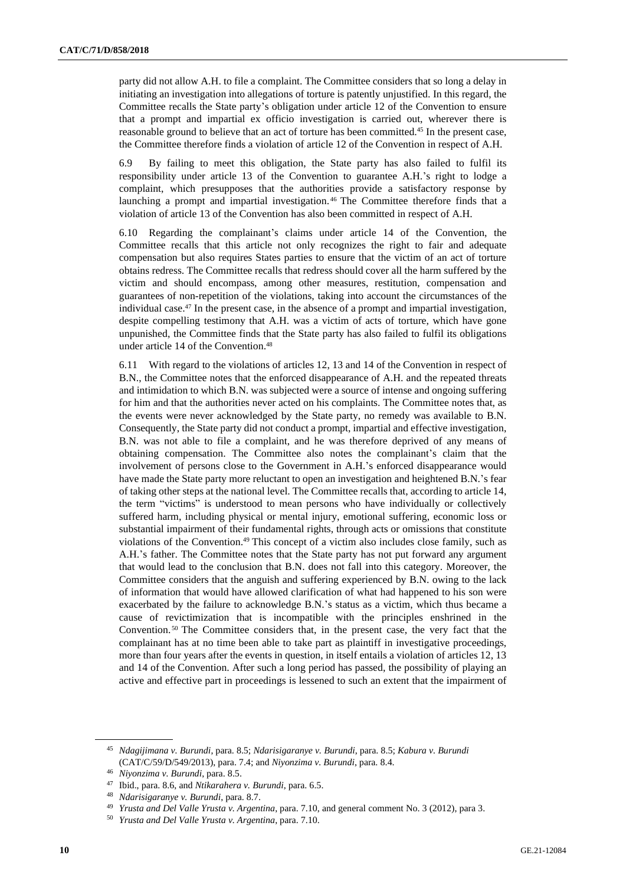party did not allow A.H. to file a complaint. The Committee considers that so long a delay in initiating an investigation into allegations of torture is patently unjustified. In this regard, the Committee recalls the State party's obligation under article 12 of the Convention to ensure that a prompt and impartial ex officio investigation is carried out, wherever there is reasonable ground to believe that an act of torture has been committed.<sup>45</sup> In the present case, the Committee therefore finds a violation of article 12 of the Convention in respect of A.H.

6.9 By failing to meet this obligation, the State party has also failed to fulfil its responsibility under article 13 of the Convention to guarantee A.H.'s right to lodge a complaint, which presupposes that the authorities provide a satisfactory response by launching a prompt and impartial investigation. <sup>46</sup> The Committee therefore finds that a violation of article 13 of the Convention has also been committed in respect of A.H.

6.10 Regarding the complainant's claims under article 14 of the Convention, the Committee recalls that this article not only recognizes the right to fair and adequate compensation but also requires States parties to ensure that the victim of an act of torture obtains redress. The Committee recalls that redress should cover all the harm suffered by the victim and should encompass, among other measures, restitution, compensation and guarantees of non-repetition of the violations, taking into account the circumstances of the individual case.<sup>47</sup> In the present case, in the absence of a prompt and impartial investigation, despite compelling testimony that A.H. was a victim of acts of torture, which have gone unpunished, the Committee finds that the State party has also failed to fulfil its obligations under article 14 of the Convention.<sup>48</sup>

6.11 With regard to the violations of articles 12, 13 and 14 of the Convention in respect of B.N., the Committee notes that the enforced disappearance of A.H. and the repeated threats and intimidation to which B.N. was subjected were a source of intense and ongoing suffering for him and that the authorities never acted on his complaints. The Committee notes that, as the events were never acknowledged by the State party, no remedy was available to B.N. Consequently, the State party did not conduct a prompt, impartial and effective investigation, B.N. was not able to file a complaint, and he was therefore deprived of any means of obtaining compensation. The Committee also notes the complainant's claim that the involvement of persons close to the Government in A.H.'s enforced disappearance would have made the State party more reluctant to open an investigation and heightened B.N.'s fear of taking other steps at the national level. The Committee recalls that, according to article 14, the term "victims" is understood to mean persons who have individually or collectively suffered harm, including physical or mental injury, emotional suffering, economic loss or substantial impairment of their fundamental rights, through acts or omissions that constitute violations of the Convention.<sup>49</sup> This concept of a victim also includes close family, such as A.H.'s father. The Committee notes that the State party has not put forward any argument that would lead to the conclusion that B.N. does not fall into this category. Moreover, the Committee considers that the anguish and suffering experienced by B.N. owing to the lack of information that would have allowed clarification of what had happened to his son were exacerbated by the failure to acknowledge B.N.'s status as a victim, which thus became a cause of revictimization that is incompatible with the principles enshrined in the Convention. <sup>50</sup> The Committee considers that, in the present case, the very fact that the complainant has at no time been able to take part as plaintiff in investigative proceedings, more than four years after the events in question, in itself entails a violation of articles 12, 13 and 14 of the Convention. After such a long period has passed, the possibility of playing an active and effective part in proceedings is lessened to such an extent that the impairment of

<sup>45</sup> *Ndagijimana v. Burundi*, para. 8.5; *Ndarisigaranye v. Burundi*, para. 8.5; *Kabura v. Burundi* (CAT/C/59/D/549/2013), para. 7.4; and *Niyonzima v. Burundi*, para. 8.4.

<sup>46</sup> *Niyonzima v. Burundi*, para. 8.5.

<sup>47</sup> Ibid., para. 8.6, and *Ntikarahera v. Burundi*, para. 6.5.

<sup>48</sup> *Ndarisigaranye v. Burundi*, para. 8.7.

<sup>49</sup> *Yrusta and Del Valle Yrusta v. Argentina*, para. 7.10, and general comment No. 3 (2012), para 3.

<sup>50</sup> *Yrusta and Del Valle Yrusta v. Argentina*, para. 7.10.